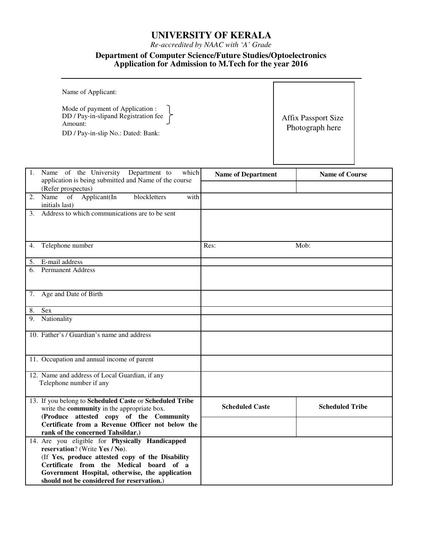# **UNIVERSITY OF KERALA**

*Re-accredited by NAAC with 'A' Grade*

### **Department of Computer Science/Future Studies/Optoelectronics Application for Admission to M.Tech for the year 2016**

| Name of Applicant:                                                                                                        |                                               |
|---------------------------------------------------------------------------------------------------------------------------|-----------------------------------------------|
| Mode of payment of Application :<br>DD / Pay-in-slipand Registration fee<br>Amount:<br>DD / Pay-in-slip No.: Dated: Bank: | <b>Affix Passport Size</b><br>Photograph here |

|    | 1. Name of the University Department to<br>which        | <b>Name of Department</b> | <b>Name of Course</b>  |
|----|---------------------------------------------------------|---------------------------|------------------------|
|    | application is being submitted and Name of the course   |                           |                        |
|    | (Refer prospectus)                                      |                           |                        |
| 2. | Name of Applicant(In<br>blockletters<br>with            |                           |                        |
|    | initials last)                                          |                           |                        |
| 3. | Address to which communications are to be sent          |                           |                        |
|    |                                                         |                           |                        |
|    |                                                         |                           |                        |
|    |                                                         |                           |                        |
| 4. | Telephone number                                        | Res:                      | Mob:                   |
|    |                                                         |                           |                        |
| 5. | E-mail address                                          |                           |                        |
| 6. | <b>Permanent Address</b>                                |                           |                        |
|    |                                                         |                           |                        |
|    |                                                         |                           |                        |
|    | 7. Age and Date of Birth                                |                           |                        |
|    |                                                         |                           |                        |
| 8. | <b>Sex</b>                                              |                           |                        |
|    | 9. Nationality                                          |                           |                        |
|    |                                                         |                           |                        |
|    | 10. Father's / Guardian's name and address              |                           |                        |
|    |                                                         |                           |                        |
|    |                                                         |                           |                        |
|    | 11. Occupation and annual income of parent              |                           |                        |
|    |                                                         |                           |                        |
|    | 12. Name and address of Local Guardian, if any          |                           |                        |
|    | Telephone number if any                                 |                           |                        |
|    |                                                         |                           |                        |
|    | 13. If you belong to Scheduled Caste or Scheduled Tribe |                           |                        |
|    | write the community in the appropriate box.             | <b>Scheduled Caste</b>    | <b>Scheduled Tribe</b> |
|    | (Produce attested copy of the Community                 |                           |                        |
|    | Certificate from a Revenue Officer not below the        |                           |                        |
|    | rank of the concerned Tahsildar.)                       |                           |                        |
|    | 14. Are you eligible for Physically Handicapped         |                           |                        |
|    | reservation? (Write Yes / No).                          |                           |                        |
|    | (If Yes, produce attested copy of the Disability        |                           |                        |
|    | Certificate from the Medical board of a                 |                           |                        |
|    | Government Hospital, otherwise, the application         |                           |                        |
|    | should not be considered for reservation.)              |                           |                        |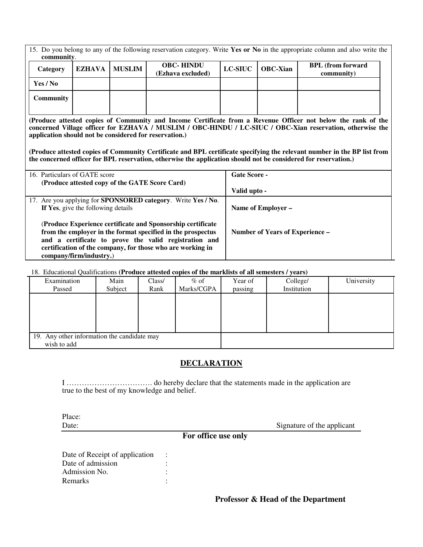| 15. Do you belong to any of the following reservation category. Write Yes or No in the appropriate column and also write the<br>community.                                                                                                                                           |               |               |                                                                                                                 |                     |                                 |                                                                                                                          |
|--------------------------------------------------------------------------------------------------------------------------------------------------------------------------------------------------------------------------------------------------------------------------------------|---------------|---------------|-----------------------------------------------------------------------------------------------------------------|---------------------|---------------------------------|--------------------------------------------------------------------------------------------------------------------------|
| Category                                                                                                                                                                                                                                                                             | <b>EZHAVA</b> | <b>MUSLIM</b> | <b>OBC-HINDU</b><br>(Ezhava excluded)                                                                           | <b>LC-SIUC</b>      | <b>OBC-Xian</b>                 | <b>BPL</b> (from forward<br>community)                                                                                   |
| Yes / No                                                                                                                                                                                                                                                                             |               |               |                                                                                                                 |                     |                                 |                                                                                                                          |
| Community                                                                                                                                                                                                                                                                            |               |               |                                                                                                                 |                     |                                 |                                                                                                                          |
| (Produce attested copies of Community and Income Certificate from a Revenue Officer not below the rank of the<br>concerned Village officer for EZHAVA / MUSLIM / OBC-HINDU / LC-SIUC / OBC-Xian reservation, otherwise the<br>application should not be considered for reservation.) |               |               |                                                                                                                 |                     |                                 |                                                                                                                          |
|                                                                                                                                                                                                                                                                                      |               |               | the concerned officer for BPL reservation, otherwise the application should not be considered for reservation.) |                     |                                 | (Produce attested copies of Community Certificate and BPL certificate specifying the relevant number in the BP list from |
| 16. Particulars of GATE score                                                                                                                                                                                                                                                        |               |               |                                                                                                                 | <b>Gate Score -</b> |                                 |                                                                                                                          |
|                                                                                                                                                                                                                                                                                      |               |               | (Produce attested copy of the GATE Score Card)                                                                  | Valid upto -        |                                 |                                                                                                                          |
| 17. Are you applying for <b>SPONSORED</b> category. Write Yes / No.<br>If Yes, give the following details<br>Name of Employer -                                                                                                                                                      |               |               |                                                                                                                 |                     |                                 |                                                                                                                          |
| (Produce Experience certificate and Sponsorship certificate<br>from the employer in the format specified in the prospectus<br>and a certificate to prove the valid registration and<br>certification of the company, for those who are working in<br>company/firm/industry.)         |               |               |                                                                                                                 |                     | Number of Years of Experience – |                                                                                                                          |

# 18. Educational Qualifications **(Produce attested copies of the marklists of all semesters / years)**

| Examination                                 | Main    | Class/ | $%$ of     | Year of | College/    | University |
|---------------------------------------------|---------|--------|------------|---------|-------------|------------|
|                                             |         |        |            |         |             |            |
| Passed                                      | Subject | Rank   | Marks/CGPA | passing | Institution |            |
|                                             |         |        |            |         |             |            |
|                                             |         |        |            |         |             |            |
|                                             |         |        |            |         |             |            |
|                                             |         |        |            |         |             |            |
|                                             |         |        |            |         |             |            |
|                                             |         |        |            |         |             |            |
|                                             |         |        |            |         |             |            |
| 19. Any other information the candidate may |         |        |            |         |             |            |
| wish to add                                 |         |        |            |         |             |            |

# **DECLARATION**

I ……………………………. do hereby declare that the statements made in the application are true to the best of my knowledge and belief.

Place:

Date: Signature of the applicant

# **For office use only**

Date of Receipt of application : Date of admission : Admission No.  $\qquad \qquad$ : Remarks : the second state of the second state  $\mathbf{R}$  :

**Professor & Head of the Department**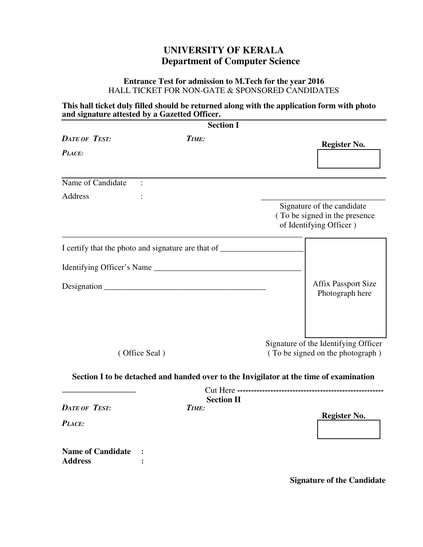# **UNIVERSITY OF KERALA Department of Computer Science**

# **Entrance Test for admission to M.Tech for the year 2016** HALL TICKET FOR NON-GATE & SPONSORED CANDIDATES

# **This hall ticket duly filled should be returned along with the application form with photo and signature attested by a Gazetted Officer.**

|                                            | <b>Section I</b>                                                                       |                                                          |
|--------------------------------------------|----------------------------------------------------------------------------------------|----------------------------------------------------------|
| <b>DATE OF TEST:</b>                       | TIME:                                                                                  | <b>Register No.</b>                                      |
| PLACE:                                     |                                                                                        |                                                          |
|                                            |                                                                                        |                                                          |
| Name of Candidate                          |                                                                                        |                                                          |
| Address                                    |                                                                                        |                                                          |
|                                            |                                                                                        | Signature of the candidate                               |
|                                            |                                                                                        | (To be signed in the presence<br>of Identifying Officer) |
|                                            |                                                                                        |                                                          |
|                                            |                                                                                        |                                                          |
|                                            |                                                                                        | <b>Affix Passport Size</b>                               |
|                                            |                                                                                        | Photograph here                                          |
|                                            |                                                                                        |                                                          |
|                                            |                                                                                        | Signature of the Identifying Officer                     |
|                                            | (Office Seal)                                                                          | (To be signed on the photograph)                         |
|                                            | Section I to be detached and handed over to the Invigilator at the time of examination |                                                          |
|                                            | <b>Section II</b>                                                                      |                                                          |
| <b>DATE OF TEST:</b>                       | TIME:                                                                                  |                                                          |
| PLACE:                                     |                                                                                        | <b>Register No.</b>                                      |
|                                            |                                                                                        |                                                          |
| <b>Name of Candidate</b><br><b>Address</b> |                                                                                        |                                                          |
|                                            |                                                                                        |                                                          |

**Signature of the Candidate**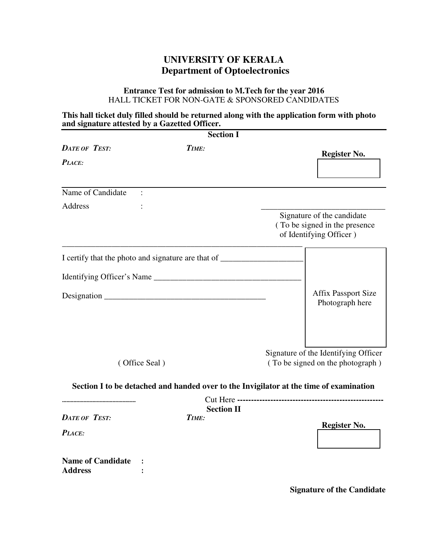# **UNIVERSITY OF KERALA Department of Optoelectronics**

### **Entrance Test for admission to M.Tech for the year 2016** HALL TICKET FOR NON-GATE & SPONSORED CANDIDATES

## **This hall ticket duly filled should be returned along with the application form with photo and signature attested by a Gazetted Officer.**

|                                            | <b>Section I</b>                                                                       |                                                                          |
|--------------------------------------------|----------------------------------------------------------------------------------------|--------------------------------------------------------------------------|
| <b>DATE OF TEST:</b>                       | TIME:                                                                                  | <b>Register No.</b>                                                      |
| PLACE:                                     |                                                                                        |                                                                          |
|                                            |                                                                                        |                                                                          |
| Name of Candidate                          |                                                                                        |                                                                          |
| <b>Address</b>                             |                                                                                        |                                                                          |
|                                            |                                                                                        | Signature of the candidate                                               |
|                                            |                                                                                        | (To be signed in the presence<br>of Identifying Officer)                 |
|                                            |                                                                                        |                                                                          |
|                                            |                                                                                        |                                                                          |
|                                            |                                                                                        | <b>Affix Passport Size</b>                                               |
|                                            |                                                                                        | Photograph here                                                          |
|                                            |                                                                                        |                                                                          |
|                                            |                                                                                        |                                                                          |
|                                            | (Office Seal)                                                                          | Signature of the Identifying Officer<br>(To be signed on the photograph) |
|                                            |                                                                                        |                                                                          |
|                                            | Section I to be detached and handed over to the Invigilator at the time of examination |                                                                          |
|                                            | <b>Section II</b>                                                                      |                                                                          |
| <b>DATE OF TEST:</b>                       | TIME:                                                                                  |                                                                          |
| PLACE:                                     |                                                                                        | <b>Register No.</b>                                                      |
|                                            |                                                                                        |                                                                          |
| <b>Name of Candidate</b><br><b>Address</b> |                                                                                        |                                                                          |
|                                            |                                                                                        |                                                                          |

**Signature of the Candidate**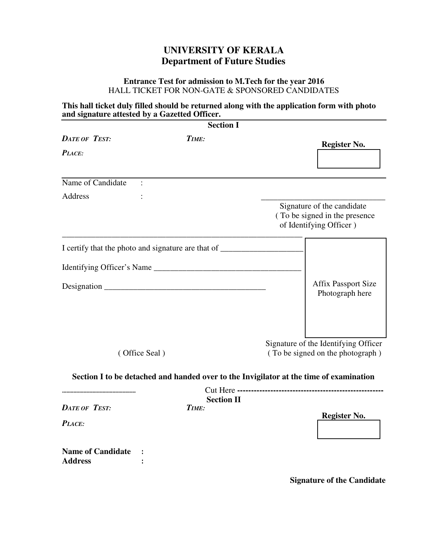# **UNIVERSITY OF KERALA Department of Future Studies**

# **Entrance Test for admission to M.Tech for the year 2016** HALL TICKET FOR NON-GATE & SPONSORED CANDIDATES

# **This hall ticket duly filled should be returned along with the application form with photo and signature attested by a Gazetted Officer.**

|                                            | <b>Section I</b>                                                                       |                                                          |
|--------------------------------------------|----------------------------------------------------------------------------------------|----------------------------------------------------------|
| <b>DATE OF TEST:</b>                       | TIME:                                                                                  | <b>Register No.</b>                                      |
| PLACE:                                     |                                                                                        |                                                          |
|                                            |                                                                                        |                                                          |
| Name of Candidate                          |                                                                                        |                                                          |
| Address                                    |                                                                                        |                                                          |
|                                            |                                                                                        | Signature of the candidate                               |
|                                            |                                                                                        | (To be signed in the presence<br>of Identifying Officer) |
|                                            |                                                                                        |                                                          |
|                                            |                                                                                        |                                                          |
|                                            |                                                                                        | <b>Affix Passport Size</b>                               |
|                                            |                                                                                        | Photograph here                                          |
|                                            |                                                                                        |                                                          |
|                                            |                                                                                        | Signature of the Identifying Officer                     |
|                                            | (Office Seal)                                                                          | (To be signed on the photograph)                         |
|                                            | Section I to be detached and handed over to the Invigilator at the time of examination |                                                          |
|                                            | <b>Section II</b>                                                                      |                                                          |
| <b>DATE OF TEST:</b>                       | TIME:                                                                                  |                                                          |
| PLACE:                                     |                                                                                        | <b>Register No.</b>                                      |
|                                            |                                                                                        |                                                          |
| <b>Name of Candidate</b><br><b>Address</b> |                                                                                        |                                                          |
|                                            |                                                                                        |                                                          |

**Signature of the Candidate**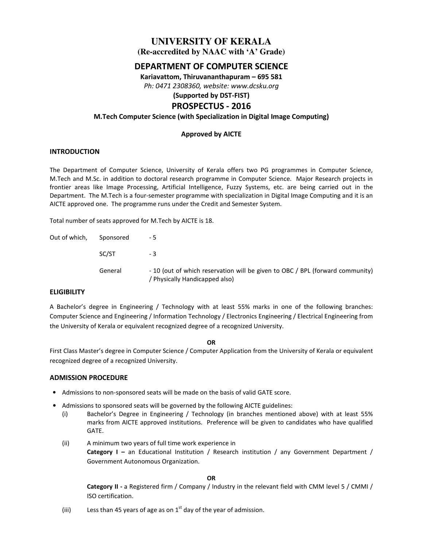# **UNIVERSITY OF KERALA**

**(Re-accredited by NAAC with 'A' Grade)** 

# **DEPARTMENT OF COMPUTER SCIENCE**

**Kariavattom, Thiruvananthapuram – 695 581** 

*Ph: 0471 2308360, website: www.dcsku.org* 

## **(Supported by DST-FIST) PROSPECTUS - 2016**

# **M.Tech Computer Science (with Specialization in Digital Image Computing)**

### **Approved by AICTE**

### **INTRODUCTION**

The Department of Computer Science, University of Kerala offers two PG programmes in Computer Science, M.Tech and M.Sc. in addition to doctoral research programme in Computer Science. Major Research projects in frontier areas like Image Processing, Artificial Intelligence, Fuzzy Systems, etc. are being carried out in the Department. The M.Tech is a four-semester programme with specialization in Digital Image Computing and it is an AICTE approved one. The programme runs under the Credit and Semester System.

Total number of seats approved for M.Tech by AICTE is 18.

| Out of which, | Sponsored | - 5                                                                                                           |
|---------------|-----------|---------------------------------------------------------------------------------------------------------------|
|               | SC/ST     | - 3                                                                                                           |
|               | General   | - 10 (out of which reservation will be given to OBC / BPL (forward community)<br>Physically Handicapped also) |

### **ELIGIBILITY**

A Bachelor's degree in Engineering / Technology with at least 55% marks in one of the following branches: Computer Science and Engineering / Information Technology / Electronics Engineering / Electrical Engineering from the University of Kerala or equivalent recognized degree of a recognized University.

#### **OR**

First Class Master's degree in Computer Science / Computer Application from the University of Kerala or equivalent recognized degree of a recognized University.

#### **ADMISSION PROCEDURE**

- Admissions to non-sponsored seats will be made on the basis of valid GATE score.
- Admissions to sponsored seats will be governed by the following AICTE guidelines:
	- (i) Bachelor's Degree in Engineering / Technology (in branches mentioned above) with at least 55% marks from AICTE approved institutions. Preference will be given to candidates who have qualified GATE.
	- (ii) A minimum two years of full time work experience in **Category I –** an Educational Institution / Research institution / any Government Department / Government Autonomous Organization.

**OR** 

**Category II -** a Registered firm / Company / Industry in the relevant field with CMM level 5 / CMMI / ISO certification.

(iii) Less than 45 years of age as on  $1<sup>st</sup>$  day of the year of admission.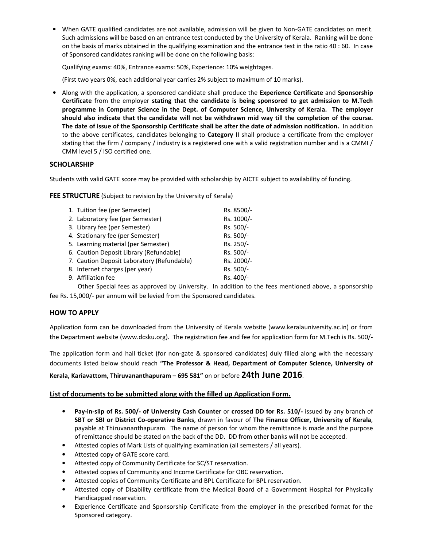• When GATE qualified candidates are not available, admission will be given to Non-GATE candidates on merit. Such admissions will be based on an entrance test conducted by the University of Kerala. Ranking will be done on the basis of marks obtained in the qualifying examination and the entrance test in the ratio 40 : 60. In case of Sponsored candidates ranking will be done on the following basis:

Qualifying exams: 40%, Entrance exams: 50%, Experience: 10% weightages.

(First two years 0%, each additional year carries 2% subject to maximum of 10 marks).

• Along with the application, a sponsored candidate shall produce the **Experience Certificate** and **Sponsorship Certificate** from the employer **stating that the candidate is being sponsored to get admission to M.Tech programme in Computer Science in the Dept. of Computer Science, University of Kerala. The employer should also indicate that the candidate will not be withdrawn mid way till the completion of the course. The date of issue of the Sponsorship Certificate shall be after the date of admission notification.** In addition to the above certificates, candidates belonging to **Category II** shall produce a certificate from the employer stating that the firm / company / industry is a registered one with a valid registration number and is a CMMI / CMM level 5 / ISO certified one.

### **SCHOLARSHIP**

Students with valid GATE score may be provided with scholarship by AICTE subject to availability of funding.

**FEE STRUCTURE** (Subject to revision by the University of Kerala)

| 1. Tuition fee (per Semester)              | Rs. 8500/- |
|--------------------------------------------|------------|
| 2. Laboratory fee (per Semester)           | Rs. 1000/- |
| 3. Library fee (per Semester)              | Rs. 500/-  |
| 4. Stationary fee (per Semester)           | Rs. 500/-  |
| 5. Learning material (per Semester)        | Rs. 250/-  |
| 6. Caution Deposit Library (Refundable)    | Rs. 500/-  |
| 7. Caution Deposit Laboratory (Refundable) | Rs. 2000/- |
| 8. Internet charges (per year)             | Rs. 500/-  |
| 9. Affiliation fee                         | Rs. 400/-  |
|                                            |            |

Other Special fees as approved by University. In addition to the fees mentioned above, a sponsorship fee Rs. 15,000/- per annum will be levied from the Sponsored candidates.

### **HOW TO APPLY**

Application form can be downloaded from the University of Kerala website (www.keralauniversity.ac.in) or from the Department website (www.dcsku.org). The registration fee and fee for application form for M.Tech is Rs. 500/-

The application form and hall ticket (for non-gate & sponsored candidates) duly filled along with the necessary documents listed below should reach **"The Professor & Head, Department of Computer Science, University of** 

### **Kerala, Kariavattom, Thiruvananthapuram – 695 581"** on or before **24th June 2016**.

#### **List of documents to be submitted along with the filled up Application Form.**

- **Pay-in-slip of Rs. 500/- of University Cash Counter** or **crossed DD for Rs. 510/-** issued by any branch of **SBT or SBI or District Co-operative Banks**, drawn in favour of **The Finance Officer, University of Kerala**, payable at Thiruvananthapuram. The name of person for whom the remittance is made and the purpose of remittance should be stated on the back of the DD. DD from other banks will not be accepted.
- Attested copies of Mark Lists of qualifying examination (all semesters / all years).
- Attested copy of GATE score card.
- Attested copy of Community Certificate for SC/ST reservation.
- Attested copies of Community and Income Certificate for OBC reservation.
- Attested copies of Community Certificate and BPL Certificate for BPL reservation.
- Attested copy of Disability certificate from the Medical Board of a Government Hospital for Physically Handicapped reservation.
- Experience Certificate and Sponsorship Certificate from the employer in the prescribed format for the Sponsored category.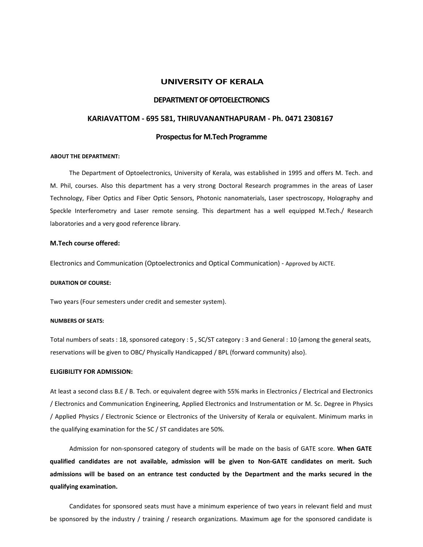#### **UNIVERSITY OF KERALA**

#### **DEPARTMENT OF OPTOELECTRONICS**

#### **KARIAVATTOM - 695 581, THIRUVANANTHAPURAM - Ph. 0471 2308167**

#### **Prospectus for M.Tech Programme**

#### **ABOUT THE DEPARTMENT:**

The Department of Optoelectronics, University of Kerala, was established in 1995 and offers M. Tech. and M. Phil, courses. Also this department has a very strong Doctoral Research programmes in the areas of Laser Technology, Fiber Optics and Fiber Optic Sensors, Photonic nanomaterials, Laser spectroscopy, Holography and Speckle Interferometry and Laser remote sensing. This department has a well equipped M.Tech./ Research laboratories and a very good reference library.

#### **M.Tech course offered:**

Electronics and Communication (Optoelectronics and Optical Communication) - Approved by AICTE.

#### **DURATION OF COURSE:**

Two years (Four semesters under credit and semester system).

#### **NUMBERS OF SEATS:**

Total numbers of seats : 18, sponsored category : 5 , SC/ST category : 3 and General : 10 {among the general seats, reservations will be given to OBC/ Physically Handicapped / BPL (forward community) also}.

#### **ELIGIBILITY FOR ADMISSION:**

At least a second class B.E / B. Tech. or equivalent degree with 55% marks in Electronics / Electrical and Electronics / Electronics and Communication Engineering, Applied Electronics and Instrumentation or M. Sc. Degree in Physics / Applied Physics / Electronic Science or Electronics of the University of Kerala or equivalent. Minimum marks in the qualifying examination for the SC / ST candidates are 50%.

Admission for non-sponsored category of students will be made on the basis of GATE score. **When GATE qualified candidates are not available, admission will be given to Non-GATE candidates on merit. Such admissions will be based on an entrance test conducted by the Department and the marks secured in the qualifying examination.**

Candidates for sponsored seats must have a minimum experience of two years in relevant field and must be sponsored by the industry / training / research organizations. Maximum age for the sponsored candidate is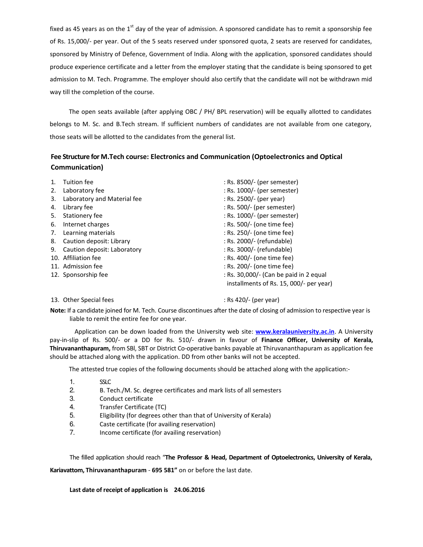fixed as 45 years as on the 1<sup>st</sup> day of the year of admission. A sponsored candidate has to remit a sponsorship fee of Rs. 15,000/- per year. Out of the 5 seats reserved under sponsored quota, 2 seats are reserved for candidates, sponsored by Ministry of Defence, Government of India. Along with the application, sponsored candidates should produce experience certificate and a letter from the employer stating that the candidate is being sponsored to get admission to M. Tech. Programme. The employer should also certify that the candidate will not be withdrawn mid way till the completion of the course.

The open seats available (after applying OBC / PH/ BPL reservation) will be equally allotted to candidates belongs to M. Sc. and B.Tech stream. If sufficient numbers of candidates are not available from one category, those seats will be allotted to the candidates from the general list.

# **Fee Structure for M.Tech course: Electronics and Communication (Optoelectronics and Optical Communication)**

|    | Tuition fee                    | : Rs. 8500/- (per semester)             |
|----|--------------------------------|-----------------------------------------|
| 2. | Laboratory fee                 | : Rs. 1000/- (per semester)             |
| 3. | Laboratory and Material fee    | : Rs. 2500/- (per year)                 |
| 4. | Library fee                    | : Rs. 500/- (per semester)              |
| 5. | Stationery fee                 | : Rs. 1000/- (per semester)             |
| 6. | Internet charges               | : Rs. 500/- (one time fee)              |
| 7. | Learning materials             | : Rs. 250/- (one time fee)              |
| 8. | Caution deposit: Library       | : Rs. 2000/- (refundable)               |
|    | 9. Caution deposit: Laboratory | : Rs. 3000/- (refundable)               |
|    | 10. Affiliation fee            | : Rs. 400/- (one time fee)              |
|    | 11. Admission fee              | : Rs. 200/- (one time fee)              |
|    | 12. Sponsorship fee            | : Rs. 30,000/- (Can be paid in 2 equal  |
|    |                                | installments of Rs. 15, 000/- per year) |

### 13. Other Special fees  $\sim$  Rs 420/- (per year)

**Note:** If a candidate joined for M. Tech. Course discontinues after the date of closing of admission to respective year is liable to remit the entire fee for one year.

 Application can be down loaded from the University web site: **www.keralauniversity.ac.in**. A University pay-in-slip of Rs. 500/- or a DD for Rs. 510/- drawn in favour of **Finance Officer, University of Kerala, Thiruvananthapuram,** from SBl, SBT or District Co-operative banks payable at Thiruvananthapuram as application fee should be attached along with the application. DD from other banks will not be accepted.

The attested true copies of the following documents should be attached along with the application:-

- 1. SSLC
- 2. B. Tech./M. Sc. degree certificates and mark lists of all semesters
- 3. Conduct certificate
- 4. Transfer Certificate (TC)
- 5. Eligibility (for degrees other than that of University of Kerala)
- 6. Caste certificate (for availing reservation)
- 7. Income certificate (for availing reservation)

The filled application should reach "**The Professor & Head, Department of Optoelectronics, University of Kerala,** 

**Kariavattom, Thiruvananthapuram** - **695 581"** on or before the last date.

**Last date of receipt of application is 24.06.2016**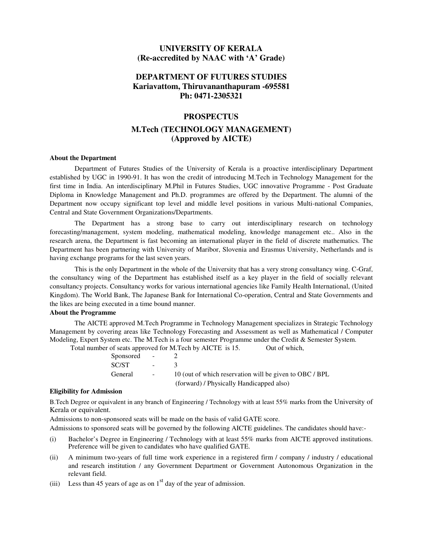# **UNIVERSITY OF KERALA (Re-accredited by NAAC with 'A' Grade)**

## **DEPARTMENT OF FUTURES STUDIES Kariavattom, Thiruvananthapuram -695581 Ph: 0471-2305321**

### **PROSPECTUS**

## **M.Tech (TECHNOLOGY MANAGEMENT) (Approved by AICTE)**

#### **About the Department**

Department of Futures Studies of the University of Kerala is a proactive interdisciplinary Department established by UGC in 1990-91. It has won the credit of introducing M.Tech in Technology Management for the first time in India. An interdisciplinary M.Phil in Futures Studies, UGC innovative Programme - Post Graduate Diploma in Knowledge Management and Ph.D. programmes are offered by the Department. The alumni of the Department now occupy significant top level and middle level positions in various Multi-national Companies, Central and State Government Organizations/Departments.

The Department has a strong base to carry out interdisciplinary research on technology forecasting/management, system modeling, mathematical modeling, knowledge management etc.. Also in the research arena, the Department is fast becoming an international player in the field of discrete mathematics. The Department has been partnering with University of Maribor, Slovenia and Erasmus University, Netherlands and is having exchange programs for the last seven years.

This is the only Department in the whole of the University that has a very strong consultancy wing. C-Graf, the consultancy wing of the Department has established itself as a key player in the field of socially relevant consultancy projects. Consultancy works for various international agencies like Family Health International, (United Kingdom). The World Bank, The Japanese Bank for International Co-operation, Central and State Governments and the likes are being executed in a time bound manner.

#### **About the Programme**

The AICTE approved M.Tech Programme in Technology Management specializes in Strategic Technology Management by covering areas like Technology Forecasting and Assessment as well as Mathematical / Computer Modeling, Expert System etc. The M.Tech is a four semester Programme under the Credit & Semester System.

Total number of seats approved for M.Tech by AICTE is 15. Out of which,

| Sponsored - |                          |                                                         |
|-------------|--------------------------|---------------------------------------------------------|
| SC/ST       | <b>Contract Contract</b> |                                                         |
| General     |                          | 10 (out of which reservation will be given to OBC / BPL |
|             |                          | (forward) / Physically Handicapped also)                |

#### **Eligibility for Admission**

B.Tech Degree or equivalent in any branch of Engineering / Technology with at least 55% marks from the University of Kerala or equivalent.

Admissions to non-sponsored seats will be made on the basis of valid GATE score.

Admissions to sponsored seats will be governed by the following AICTE guidelines. The candidates should have:-

- (i) Bachelor's Degree in Engineering / Technology with at least 55% marks from AICTE approved institutions. Preference will be given to candidates who have qualified GATE.
- (ii) A minimum two-years of full time work experience in a registered firm / company / industry / educational and research institution / any Government Department or Government Autonomous Organization in the relevant field.
- (iii) Less than 45 years of age as on  $1<sup>st</sup>$  day of the year of admission.